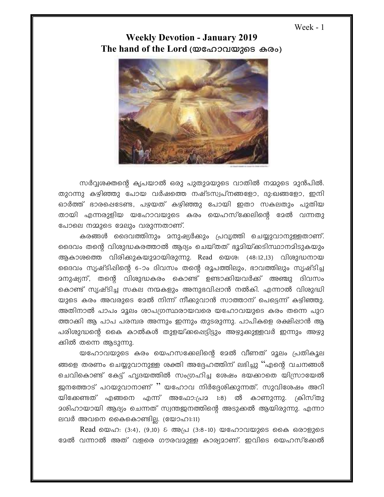Week - 1

## **Weekly Devotion - January 2019** The hand of the Lord ( $\omega$ ഹോവയുടെ കരം)



സർവ്വരക്തന്റെ കൃപയാൽ ഒരു പുതുമയുടെ വാതിൽ നമ്മുടെ മുൻപിൽ. തുറന്നു കഴിഞ്ഞു പോയ വർഷത്തെ നഷ്ടസ്വപ്നങ്ങളോ, ദു:ഖങ്ങളോ, ഇനി ഓർത്ത് ഭാരപ്പെടേണ്ട, പഴയത് കഴിഞ്ഞു പോയി ഇതാ സകലതും പുതിയ തായി എന്നരുളിയ യഹോവയുടെ കരം യെഹസ്ക്കേലിന്റെ മേൽ വന്നതു പോലെ നമ്മുടെ മേലും വരുന്നതാണ്.

കരങ്ങൾ ദൈവത്തിനും മനുഷ്യർക്കും പ്രവൃത്തി ചെയ്യുവാനുള്ളതാണ്. ദൈവം തന്റെ വിശുദ്ധകരത്താൽ ആദ്യം ചെയ്തത് ഭൂമിയ്ക്കടിസ്ഥാനമിടുകയും ആകാശത്തെ വിരിക്കുകയുമായിരുന്നു. Read യെശ: (48:12,13) വിശുദ്ധനായ ദൈവം സൃഷ്ടിഷിന്റെ 6-ാം ദിവസം തന്റെ രൂപത്തിലും, ഭാവത്തിലും സൃഷ്ടിച്ച <u> മനുഷ്യന്, തന്റെ വിശുദ്ധകരം കൊണ്ട് ഉണ്ടാക്കിയവർക്ക് അഞ്ചു ദിവസം</u> കൊണ്ട് സൃഷ്ടിച്ച സകല നന്മകളും അനുഭവിഷാൻ നൽകി. എന്നാൽ വിശുദ്ധി യുടെ കരം അവരുടെ മേൽ നിന്ന് നീക്കുവാൻ സാത്താന് പെട്ടെന്ന് കഴിഞ്ഞു. അതിനാൽ പാപം മൂലം ശാപഗ്രസ്ഥരായവരെ യഹോവയുടെ കരം തന്നെ പുറ ത്താക്കി ആ പാപ പരമ്പര അന്നും ഇന്നും തുടരുന്നു. പാപികളെ രക്ഷിഷാൻ ആ പരിശുദ്ധന്റെ കൈ കാൽകൾ തുളയ്ക്കപ്പെട്ടിട്ടും അഴുക്കുള്ളവർ ഇന്നും അഴു ക്കിൽ തന്നെ ആടുന്നു.

യഹോവയുടെ കരം യെഹസക്കേലിന്റെ ദേൽ വീണത് മൂലം പ്രതികൂല ങ്ങളെ തരണം ചെയ്യുവാനുള്ള ശക്തി അദ്ദേഹത്തിന് ലഭിച്ചു ''എന്റെ വചനങ്ങൾ ചെവികൊണ്ട് കേട്ട് ഹൃദയത്തിൽ സംഗ്രഹിച്ച ശേഷം ഭയക്കാതെ യിസ്രായേൽ ജനത്തോട് പറയുവാനാണ് '' യഹോവ നിർദ്ദേശിക്കുന്നത്. സുവിശേഷം അറി യിക്കേണ്ടത് എങ്ങനെ എന്ന് അഫോ:പ്ര $2$  1:8) ൽ കാണുന്നു. ക്രിസ്തു ലവർ അവനെ കൈകൊണ്ടില്ല. (യോഹ1:11)

Read യെഹ: (3:4), (9,10) & അപ്ര (3:8-10) യഹോവയുടെ കൈ ഒരാളുടെ ഭേൽ വന്നാൽ അത് വളരെ ഗൗരവമുള്ള കാര്യമാണ്. ഇവിടെ യെഹസ്ക്കേൽ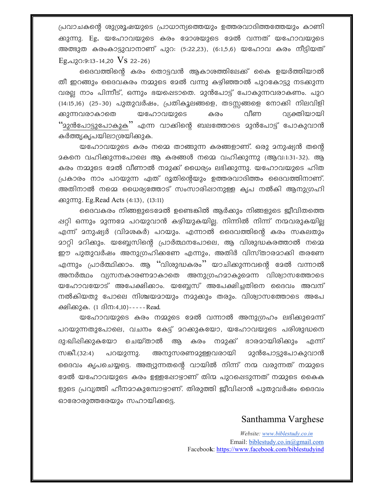പ്രവാചകന്റെ ശുശ്രൂഷയുടെ പ്രാധാന്യത്തെയും ഉത്തരവാദിത്തത്തേയും കാണി ക്കുന്നു. Eg. യഹോവയുടെ കരം മോശയുടെ മേൽ വന്നത് യഹോവയുടെ അത്ഭുത കരംകാട്ടുവാനാണ് പുറ: (5:22,23), (6:1,5,6) യഹോവ കരം നീട്ടിയത് Eg.  $\alpha$ 120:9:13 - 14,20 VS 22 - 26)

ദൈവത്തിന്റെ കരം തൊട്ടവൻ ആകാശത്തിലേക്ക് കൈ ഉയർത്തിയാൽ തീ ഇറങ്ങും ദൈവകരം നമ്മുടെ മേൽ വന്നു കഴിഞ്ഞാൽ പുറകോട്ടു നടക്കുന്ന വരല്ല നാം പിന്നീട്, ഒന്നും ഭയപ്പെടാതെ. മുൻപോട്ട് പോകുന്നവരാകണം. പുറ (14:15,16) (25-30) പുതുവർഷം, പ്രതികൂലങ്ങളെ, തടസ്സങ്ങളെ നോക്കി നിലവിളി ക്കുന്നവരാകാതെ യഹോവയുടെ വീണ വ്യക്തിയായി കരം ''മുൻപോട്ടുപോകുക'' എന്ന വാക്കിന്റെ ബലത്തോടെ മുൻപോട്ട് പോകുവാൻ കർത്ത്യകൃപയിലാശ്രയിക്കുക.

യഹോവയുടെ കരം നമ്മെ താങ്ങുന്ന കരങ്ങളാണ്. ഒരു മനുഷ്യൻ തന്റെ <u> </u>കനെ വഹിക്കുന്നപോലെ ആ കരങ്ങൾ നമ്മെ വഹിക്കുന്നു (ആവ:1:31-32). ആ കരം നമ്മുടെ മേൽ വീണാൽ നമുക്ക് ധൈര്യം ലഭിക്കുന്നു. യഹോവയുടെ ഹിത പ്രകാരം നാം പറയുന്ന ഏത് ദൂതിന്റെയും ഉത്തരവാദിത്തം ദൈവത്തിനാണ്. അതിനാൽ നമ്മെ ധൈര്യത്തോട് സംസാരിഷാനുള്ള കൃപ നൽകി ആനുഗ്രഹി ക്കുന്നു. Eg.Read Acts (4:13), (13:11)

ദൈവകരം നിങ്ങളുടെമേൽ ഉണ്ടെങ്കിൽ ആർക്കും നിങ്ങളുടെ ജീവിതത്തെ ഷറ്റി ഒന്നും മുന്നമേ പറയുവാൻ കഴിയുകയില. നിന്നിൽ നിന്ന് നന്മവരുകയില എന്ന് മനുഷ്യർ (വിമശകർ) പറയും. എന്നാൽ ദൈവത്തിന്റെ കരം സകലതും മാറ്റി മറിക്കും. യബ്ബേസിന്റെ പ്രാർത്ഥനപോലെ, ആ വിശുദ്ധകരത്താൽ നമ്മെ ഈ പുതുവർഷം അനുഗ്രഹിക്കണേ എന്നും, അതിർ വിസ്താരമാക്കി തരണേ എന്നും പ്രാർത്ഥിക്കാം. ആ ''വിശുദ്ധകരം'' യാചിക്കുന്നവന്റെ ദേൽ വന്നാൽ അനർത്ഥം വ്യസനകാരണമാകാതെ അനുഗ്രഹമാകുമെന്ന വിശ്വാസത്തോടെ യഹോവയോട് അപേക്ഷിക്കാം. യബ്ബേസ് അപേക്ഷിച്ചതിനെ ദൈവം അവന് നൽകിയതു പോലെ നിശ്ചയമായും നമുക്കും തരും. വിശ്വാസത്തോടെ അപേ ക്ഷിക്കുക. (1 ദിന:4,10)-----Read.

യഹോവയുടെ കരം നമ്മുടെ മേൽ വന്നാൽ അനുഗ്രഹം ലഭിക്കുമെന്ന് പറയുന്നതുപോലെ, വചനം കേട്ട് മറക്കുകയോ, യഹോവയുടെ പരിശുദ്ധനെ ദു:ഖിഷിക്കുകയോ ചെയ്താൽ ആ കരം നമുക്ക് ഭാരമായിരിക്കും എന്ന് സങ്കീ.(32:4) പറയുന്നു. അനുസരണമുള്ളവരായി <u>മുൻപോട്ടുപോകുവാൻ</u> ദൈവം കൃപചെയ്യട്ടെ. അത്യുന്നതന്റെ വായിൽ നിന്ന് നന്മ വരുന്നത് നമ്മുടെ ഭേൽ യഹോവയുടെ കരം ഉള്ളപ്പോഴാണ് തിന്മ പുറപ്പെടുന്നത് നമ്മുടെ കൈക ളുടെ പ്രവൃത്തി ഹീനമാകുമ്പോഴാണ്. തിരുത്തി ജീവിഷാൻ പുതുവർഷം ദൈവം ഓരോരുത്തരേയും സഹായിക്കട്ടെ.

## Santhamma Varghese